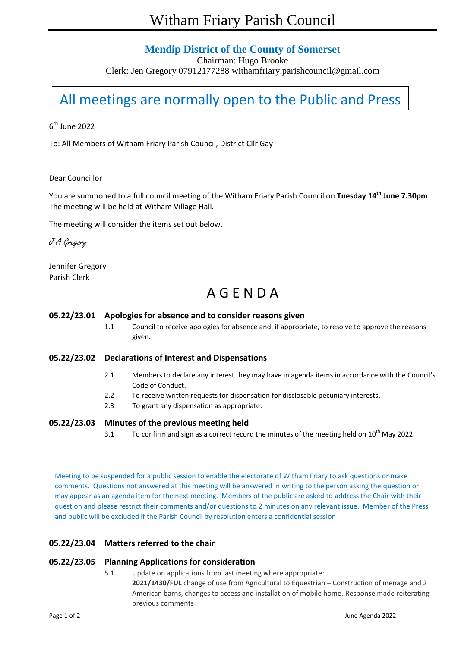### **Mendip District of the County of Somerset**

Chairman: Hugo Brooke

Clerk: Jen Gregory 07912177288 withamfriary.parishcouncil@gmail.com

# All meetings are normally open to the Public and Press

 $6^{\text{th}}$  June 2022

To: All Members of Witham Friary Parish Council, District Cllr Gay

#### Dear Councillor

You are summoned to a full council meeting of the Witham Friary Parish Council on **Tuesday 14 th June 7.30pm** The meeting will be held at Witham Village Hall.

The meeting will consider the items set out below.

J A Gregory

Jennifer Gregory Parish Clerk

## A G E N D A

#### **05.22/23.01 Apologies for absence and to consider reasons given**

1.1 Council to receive apologies for absence and, if appropriate, to resolve to approve the reasons given.

**05.22/23.02 Declarations of Interest and Dispensations**

- 2.1 Members to declare any interest they may have in agenda items in accordance with the Council's Code of Conduct.
- 2.2 To receive written requests for dispensation for disclosable pecuniary interests.
- 2.3 To grant any dispensation as appropriate.

#### **05.22/23.03 Minutes of the previous meeting held**

3.1 To confirm and sign as a correct record the minutes of the meeting held on  $10^{th}$  May 2022.

Meeting to be suspended for a public session to enable the electorate of Witham Friary to ask questions or make comments. Questions not answered at this meeting will be answered in writing to the person asking the question or may appear as an agenda item for the next meeting. Members of the public are asked to address the Chair with their question and please restrict their comments and/or questions to 2 minutes on any relevant issue. Member of the Press and public will be excluded if the Parish Council by resolution enters a confidential session

#### **05.22/23.04 Matters referred to the chair**

#### **05.22/23.05 Planning Applications for consideration**

5.1 Update on applications from last meeting where appropriate: **2021/1430/FUL** change of use from Agricultural to Equestrian – Construction of menage and 2 American barns, changes to access and installation of mobile home. Response made reiterating previous comments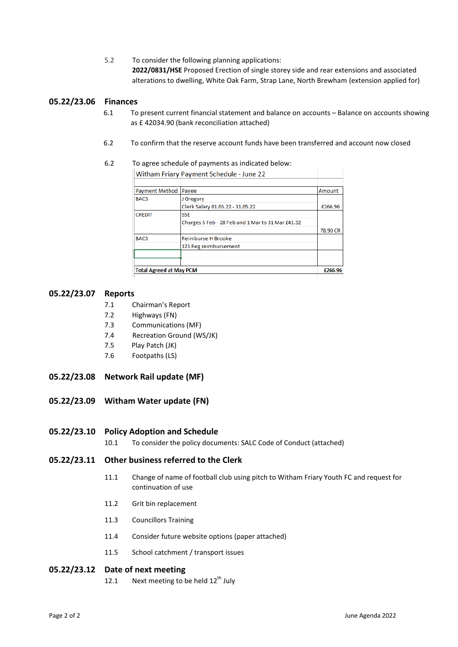5.2 To consider the following planning applications: **2022/0831/HSE** Proposed Erection of single storey side and rear extensions and associated alterations to dwelling, White Oak Farm, Strap Lane, North Brewham (extension applied for)

#### **05.22/23.06 Finances**

- 6.1 To present current financial statement and balance on accounts Balance on accounts showing as £ 42034.90 (bank reconciliation attached)
- 6.2 To confirm that the reserve account funds have been transferred and account now closed

#### 6.2 To agree schedule of payments as indicated below: Witham Friary Payment Schedule - June 22

| <b>Payment Method</b>          | Payee                                             | Amount   |
|--------------------------------|---------------------------------------------------|----------|
| <b>BACS</b>                    | J Gregory                                         |          |
|                                | Clerk Salary 01.05.22 - 31.05.22                  | £266.96  |
| <b>CREDIT</b>                  | <b>SSE</b>                                        |          |
|                                | Charges 5 Feb - 28 Feb and 1 Mar to 31 Mar £41.32 |          |
|                                |                                                   | 78,90 CR |
| <b>BACS</b>                    | Reimburse H Brooke                                |          |
|                                | 123 Reg reimbursement                             |          |
|                                |                                                   |          |
|                                |                                                   |          |
| <b>Total Agreed at May PCM</b> |                                                   | £266.96  |

#### **05.22/23.07 Reports**

- 7.1 Chairman's Report
- 7.2 Highways (FN)
- 7.3 Communications (MF)
- 7.4 Recreation Ground (WS/JK)
- 7.5 Play Patch (JK)
- 7.6 Footpaths (LS)
- **05.22/23.08 Network Rail update (MF)**
- **05.22/23.09 Witham Water update (FN)**
- **05.22/23.10 Policy Adoption and Schedule**
	- 10.1 To consider the policy documents: SALC Code of Conduct (attached)
- **05.22/23.11 Other business referred to the Clerk**
	- 11.1 Change of name of football club using pitch to Witham Friary Youth FC and request for continuation of use
	- 11.2 Grit bin replacement
	- 11.3 Councillors Training
	- 11.4 Consider future website options (paper attached)
	- 11.5 School catchment / transport issues

#### **05.22/23.12 Date of next meeting**

12.1 Next meeting to be held  $12<sup>th</sup>$  July